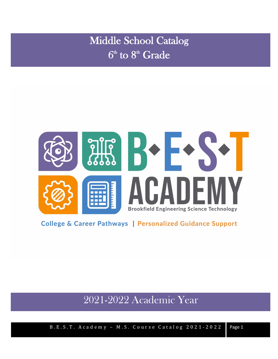Middle School Catalog  $6^{\textrm{\tiny th}}$  to  $8^{\textrm{\tiny th}}$  Grade



**College & Career Pathways | Personalized Guidance Support** 

# 2021-2022 Academic Year

B.E.S.T. A cademy - M.S. Course Catalog 2021-2022 Page 1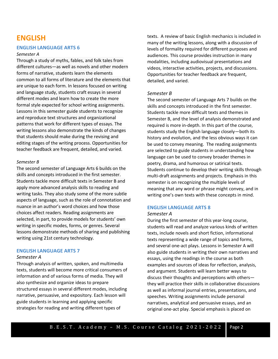### **ENGLISH**

### **ENGLISH LANGUAGE ARTS 6**

#### *Semester A*

Through a study of myths, fables, and folk tales from different cultures—as well as novels and other modern forms of narrative, students learn the elements common to all forms of literature and the elements that are unique to each form. In lessons focused on writing and language study, students craft essays in several different modes and learn how to create the more formal style expected for school writing assignments. Lessons in this semester guide students to recognize and reproduce text structures and organizational patterns that work for different types of essays. The writing lessons also demonstrate the kinds of changes that students should make during the revising and editing stages of the writing process. Opportunities for teacher feedback are frequent, detailed, and varied.

### *Semester B*

The second semester of Language Arts 6 builds on the skills and concepts introduced in the first semester. Students tackle more difficult texts in Semester B and apply more advanced analysis skills to reading and writing tasks. They also study some of the more subtle aspects of language, such as the role of connotation and nuance in an author's word choices and how those choices affect readers. Reading assignments are selected, in part, to provide models for students' own writing in specific modes, forms, or genres. Several lessons demonstrate methods of sharing and publishing writing using 21st century technology.

### **ENGLISH LANGUAGE ARTS 7**

#### *Semester A*

Through analysis of written, spoken, and multimedia texts, students will become more critical consumers of information and of various forms of media. They will also synthesize and organize ideas to prepare structured essays in several different modes, including narrative, persuasive, and expository. Each lesson will guide students in learning and applying specific strategies for reading and writing different types of

texts. A review of basic English mechanics is included in many of the writing lessons, along with a discussion of levels of formality required for different purposes and audiences. This course provides instruction in many modalities, including audiovisual presentations and videos, interactive activities, projects, and discussions. Opportunities for teacher feedback are frequent, detailed, and varied.

### *Semester B*

The second semester of Language Arts 7 builds on the skills and concepts introduced in the first semester. Students tackle more difficult texts and themes in Semester B, and the level of analysis demonstrated and required is more in-depth. In this part of the course, students study the English language closely—both its history and evolution, and the less obvious ways it can be used to convey meaning. The reading assignments are selected to guide students in understanding how language can be used to convey broader themes in poetry, drama, and humorous or satirical texts. Students continue to develop their writing skills through multi-draft assignments and projects. Emphasis in this semester is on recognizing the multiple levels of meaning that any word or phrase might convey, and in writing one's own texts with these concepts in mind.

### **ENGLISH LANGUAGE ARTS 8**

### *Semester A*

During the first semester of this year-long course, students will read and analyze various kinds of written texts, include novels and short fiction, informational texts representing a wide range of topics and forms, and several one-act plays. Lessons in Semester A will also guide students in writing their own narratives and essays, using the readings in the course as both examples and sources of ideas for reflection, analysis, and argument. Students will learn better ways to discuss their thoughts and perceptions with others they will practice their skills in collaborative discussions as well as informal journal entries, presentations, and speeches. Writing assignments include personal narratives, analytical and persuasive essays, and an original one-act play. Special emphasis is placed on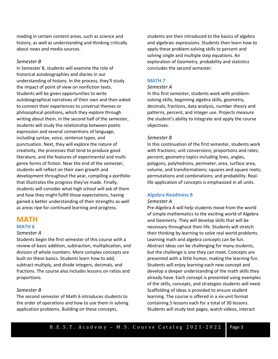reading in certain content areas, such as science and history, as well as understanding and thinking critically about news and media sources.

### *Semester B*

In Semester B, students will examine the role of historical autobiographies and diaries in our understanding of history. In the process, they'll study the impact of point of view on nonfiction texts. Students will be given opportunities to write autobiographical narratives of their own and then asked to connect their experiences to universal themes or philosophical positions, which they explore through writing about them. In the second half of the semester, students will study the relationship between poetic expression and several conventions of language, including syntax, voice, sentence types, and punctuation. Next, they will explore the nature of creativity, the processes that tend to produce good literature, and the features of experimental and multigenre forms of fiction. Near the end of the semester, students will reflect on their own growth and development throughout the year, compiling a portfolio that illustrates the progress they've made. Finally, students will consider what high school will ask of them and how they might fulfill those expectations, having gained a better understanding of their strengths as well as areas ripe for continued learning and progress.

# **MATH**

### **MATH 6**

### *Semester A*

Students begin the first semester of this course with a review of basic addition, subtraction, multiplication, and division of whole numbers. More complex concepts are built on these basics. Students learn how to add, subtract multiply, and divide integers, decimals, and fractions. The course also includes lessons on ratios and proportions.

### *Semester B*

The second semester of Math 6 introduces students to the order of operations and how to use them in solving application problems. Building on these concepts,

students are then introduced to the basics of algebra and algebraic expressions. Students then learn how to apply these problem-solving skills to percent and solving single and multiple step equations. An exploration of Geometry, probability and statistics concludes the second semester.

### **MATH 7**

### *Semester A*

In this first semester, students work with problemsolving skills, beginning algebra skills, geometry, decimals, fractions, data analysis, number theory and patterns, percent, and integer use. Projects measure the student's ability to integrate and apply the course objectives.

### *Semester B*

In this continuation of the first semester, students work with fractions; unit conversions; proportions and rates; percent; geometry topics including lines, angles, polygons, polyhedrons, perimeter, area, surface area, volume, and transformations; squares and square roots; permutations and combinations; and probability. Reallife application of concepts is emphasized in all units.

### **Algebra Readiness 8**

### *Semester A*

Pre-Algebra A will help students move from the world of simple mathematics to the exciting world of Algebra and Geometry. They will develop skills that will be necessary throughout their life. Students will stretch their thinking by learning to solve real world problems. Learning math and algebra concepts can be fun. Abstract ideas can be challenging for many students, but the challenge is one they can meet. Concepts are presented with a little humor, making the learning fun. Students will enjoy learning each new concept and develop a deeper understanding of the math skills they already have. Each concept is presented using examples of the skills, concepts, and strategies students will need. Scaffolding of ideas is provided to ensure student learning. The course is offered in a six-unit format containing 5 lessons each for a total of 30 lessons. Students will study text pages, watch videos, interact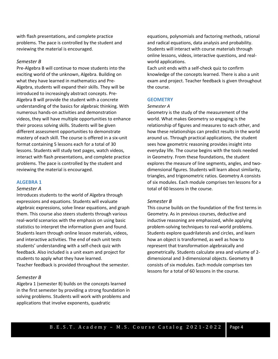with flash presentations, and complete practice problems. The pace is controlled by the student and reviewing the material is encouraged.

### *Semester B*

Pre-Algebra B will continue to move students into the exciting world of the unknown, Algebra. Building on what they have learned in mathematics and Pre-Algebra, students will expand their skills. They will be introduced to increasingly abstract concepts. Pre-Algebra B will provide the student with a concrete understanding of the basics for algebraic thinking. With numerous hands-on activities and demonstration videos, they will have multiple opportunities to enhance their process solving skills. Students will be given different assessment opportunities to demonstrate mastery of each skill. The course is offered in a six-unit format containing 5 lessons each for a total of 30 lessons. Students will study text pages, watch videos, interact with flash presentations, and complete practice problems. The pace is controlled by the student and reviewing the material is encouraged.

### **ALGEBRA 1**

#### *Semester A*

Introduces students to the world of Algebra through expressions and equations. Students will evaluate algebraic expressions, solve linear equations, and graph them. This course also steers students through various real-world scenarios with the emphasis on using basic statistics to interpret the information given and found. Students learn through online lesson materials, videos, and interactive activities. The end of each unit tests students' understanding with a self-check quiz with feedback. Also included is a unit exam and project for students to apply what they have learned. Teacher feedback is provided throughout the semester.

### *Semester B*

Algebra 1 (semester B) builds on the concepts learned in the first semester by providing a strong foundation in solving problems. Students will work with problems and applications that involve exponents, quadratic

equations, polynomials and factoring methods, rational and radical equations, data analysis and probability. Students will interact with course materials through online lessons, videos, interactive questions, and realworld applications.

Each unit ends with a self-check quiz to confirm knowledge of the concepts learned. There is also a unit exam and project. Teacher feedback is given throughout the course.

### **GEOMETRY**

#### *Semester A*

Geometry is the study of the measurement of the world. What makes Geometry so engaging is the relationship of figures and measures to each other, and how these relationships can predict results in the world around us. Through practical applications, the student sees how geometric reasoning provides insight into everyday life. The course begins with the tools needed in Geometry. From these foundations, the student explores the measure of line segments, angles, and twodimensional figures. Students will learn about similarity, triangles, and trigonometric ratios. Geometry A consists of six modules. Each module comprises ten lessons for a total of 60 lessons in the course.

### *Semester B*

This course builds on the foundation of the first terms in Geometry. As in previous courses, deductive and inductive reasoning are emphasized, while applying problem-solving techniques to real-world problems. Students explore quadrilaterals and circles, and learn how an object is transformed, as well as how to represent that transformation algebraically and geometrically. Students calculate area and volume of 2 dimensional and 3-dimensional objects. Geometry B consists of six modules. Each module comprises ten lessons for a total of 60 lessons in the course.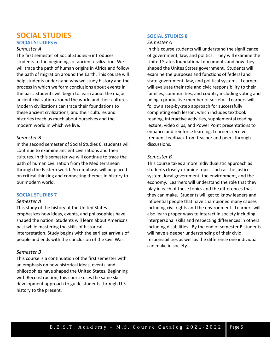### **SOCIAL STUDIES**

### **SOCIAL STUDIES 6**

### *Semester A*

The first semester of Social Studies 6 introduces students to the beginnings of ancient civilization. We will trace the path of human origins in Africa and follow the path of migration around the Earth. This course will help students understand why we study history and the process in which we form conclusions about events in the past. Students will begin to learn about the major ancient civilization around the world and their cultures. Modern civilizations can trace their foundations to these ancient civilizations, and their cultures and histories teach us much about ourselves and the modern world in which we live.

### *Semester B*

In the second semester of Social Studies 6, students will continue to examine ancient civilizations and their cultures. In this semester we will continue to trace the path of human civilization from the Mediterranean through the Eastern world. An emphasis will be placed on critical thinking and connecting themes in history to our modern world.

### **SOCIAL STUDIES 7**

### *Semester A*

This study of the history of the United States emphasizes how ideas, events, and philosophies have shaped the nation. Students will learn about America's past while mastering the skills of historical interpretation. Study begins with the earliest arrivals of people and ends with the conclusion of the Civil War.

### *Semester B*

This course is a continuation of the first semester with an emphasis on how historical ideas, events, and philosophies have shaped the United States. Beginning with Reconstruction, this course uses the same skill development approach to guide students through U.S. history to the present.

### **SOCIAL STUDIES 8**

### *Semester A*

In this course students will understand the significance of government, law, and politics. They will examine the United States foundational documents and how they shaped the Unites States government. Students will examine the purposes and functions of federal and state government, law, and political systems. Learners will evaluate their role and civic responsibility to their families, communities, and country including voting and being a productive member of society. Learners will follow a step-by-step approach for successfully completing each lesson, which includes textbook reading, interactive activities, supplemental reading, lecture, video clips, and Power Point presentations to enhance and reinforce learning. Learners receive frequent feedback from teacher and peers through discussions.

### *Semester B*

This course takes a more individualistic approach as students closely examine topics such as the justice system, local government, the environment, and the economy. Learners will understand the role that they play in each of these topics and the differences that they can make. Students will get to know leaders and influential people that have championed many causes including civil rights and the environment. Learners will also learn proper ways to interact in society including interpersonal skills and respecting differences in others including disabilities. By the end of semester B students will have a deeper understanding of their civic responsibilities as well as the difference one individual can make in society.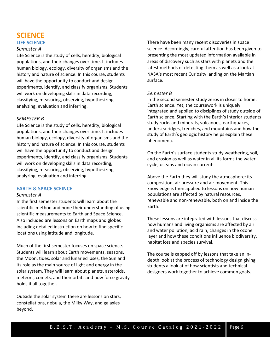### **SCIENCE LIFE SCIENCE**

### *Semester A*

Life Science is the study of cells, heredity, biological populations, and their changes over time. It includes human biology, ecology, diversity of organisms and the history and nature of science. In this course, students will have the opportunity to conduct and design experiments, identify, and classify organisms. Students will work on developing skills in data recording, classifying, measuring, observing, hypothesizing, analyzing, evaluation and inferring.

### *SEMESTER B*

Life Science is the study of cells, heredity, biological populations, and their changes over time. It includes human biology, ecology, diversity of organisms and the history and nature of science. In this course, students will have the opportunity to conduct and design experiments, identify, and classify organisms. Students will work on developing skills in data recording, classifying, measuring, observing, hypothesizing, analyzing, evaluation and inferring.

#### **EARTH & SPACE SCEINCE**

### *Semester A*

In the first semester students will learn about the scientific method and hone their understanding of using scientific measurements to Earth and Space Science. Also included are lessons on Earth maps and globes including detailed instruction on how to find specific locations using latitude and longitude.

Much of the first semester focuses on space science. Students will learn about Earth movements, seasons, the Moon, tides, solar and lunar eclipses, the Sun and its role as the main source of light and energy in the solar system. They will learn about planets, asteroids, meteors, comets, and their orbits and how force gravity holds it all together.

Outside the solar system there are lessons on stars, constellations, nebula, the Milky Way, and galaxies beyond.

There have been many recent discoveries in space science. Accordingly, careful attention has been given to presenting the most updated information available in areas of discovery such as stars with planets and the latest methods of detecting them as well as a look at NASA's most recent Curiosity landing on the Martian surface.

#### *Semester B*

In the second semester study zeros in closer to home: Earth science. Yet, the coursework is uniquely integrated and applied to disciplines of study outside of Earth science. Starting with the Earth's interior students study rocks and minerals, volcanoes, earthquakes, undersea ridges, trenches, and mountains and how the study of Earth's geologic history helps explain these phenomena.

On the Earth's surface students study weathering, soil, and erosion as well as water in all its forms the water cycle, oceans and ocean currents.

Above the Earth they will study the atmosphere: its composition, air pressure and air movement. This knowledge is then applied to lessons on how human populations are affected by natural resources, renewable and non-renewable, both on and inside the Earth.

These lessons are integrated with lessons that discuss how humans and living organisms are affected by air and water pollution, acid rain, changes in the ozone layer and how these conditions influence biodiversity, habitat loss and species survival.

The course is capped off by lessons that take an indepth look at the process of technology design giving students a look at of how scientists and technical designers work together to achieve common goals.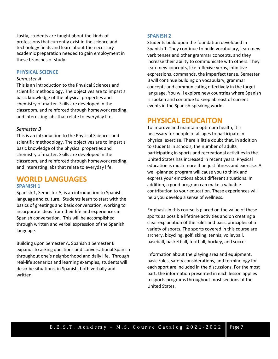Lastly, students are taught about the kinds of professions that currently exist in the science and technology fields and learn about the necessary academic preparation needed to gain employment in these branches of study.

### **PHYSICAL SCIENCE**

#### *Semester A*

This is an introduction to the Physical Sciences and scientific methodology. The objectives are to impart a basic knowledge of the physical properties and chemistry of matter. Skills are developed in the classroom, and reinforced through homework reading, and interesting labs that relate to everyday life.

### *Semester B*

This is an introduction to the Physical Sciences and scientific methodology. The objectives are to impart a basic knowledge of the physical properties and chemistry of matter. Skills are developed in the classroom, and reinforced through homework reading, and interesting labs that relate to everyday life.

### **WORLD LANGUAGES SPANISH 1**

Spanish 1, Semester A, is an introduction to Spanish language and culture. Students learn to start with the basics of greetings and basic conversation, working to incorporate ideas from their life and experiences in Spanish conversation. This will be accomplished through written and verbal expression of the Spanish language.

Building upon Semester A, Spanish 1 Semester B expands to asking questions and conversational Spanish throughout one's neighborhood and daily life. Through real-life scenarios and learning examples, students will describe situations, in Spanish, both verbally and written.

### **SPANISH 2**

Students build upon the foundation developed in Spanish 1. They continue to build vocabulary, learn new verb tenses and other grammar concepts, and they increase their ability to communicate with others. They learn new concepts, like reflexive verbs, infinitive expressions, commands, the imperfect tense. Semester B will continue building on vocabulary, grammar concepts and communicating effectively in the target language. You will explore new countries where Spanish is spoken and continue to keep abreast of current events in the Spanish-speaking world.

### **PHYSICAL EDUCAITON**

To improve and maintain optimum health, it is necessary for people of all ages to participate in physical exercise. There is little doubt that, in addition to students in schools, the number of adults participating in sports and recreational activities in the United States has increased in recent years. Physical education is much more than just fitness and exercise. A well-planned program will cause you to think and express your emotions about different situations. In addition, a good program can make a valuable contribution to your education. These experiences will help you develop a sense of wellness.

Emphasis in this course is placed on the value of these sports as possible lifetime activities and on creating a clear explanation of the rules and basic principles of a variety of sports. The sports covered in this course are archery, bicycling, golf, skiing, tennis, volleyball, baseball, basketball, football, hockey, and soccer.

Information about the playing area and equipment, basic rules, safety considerations, and terminology for each sport are included in the discussions. For the most part, the information presented in each lesson applies to sports programs throughout most sections of the United States.